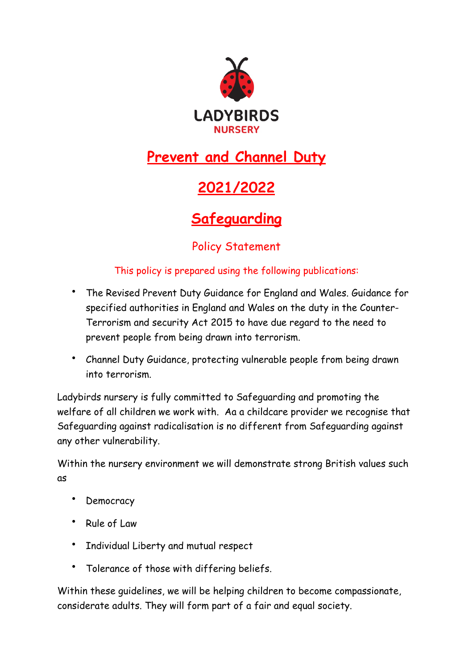

# **Prevent and Channel Duty**

# **2021/2022**

# **Safeguarding**

## Policy Statement

#### This policy is prepared using the following publications:

- The Revised Prevent Duty Guidance for England and Wales. Guidance for specified authorities in England and Wales on the duty in the Counter-Terrorism and security Act 2015 to have due regard to the need to prevent people from being drawn into terrorism.
- Channel Duty Guidance, protecting vulnerable people from being drawn into terrorism.

Ladybirds nursery is fully committed to Safeguarding and promoting the welfare of all children we work with. Aa a childcare provider we recognise that Safeguarding against radicalisation is no different from Safeguarding against any other vulnerability.

Within the nursery environment we will demonstrate strong British values such as

- Democracy
- Rule of Law
- Individual Liberty and mutual respect
- Tolerance of those with differing beliefs.

Within these guidelines, we will be helping children to become compassionate, considerate adults. They will form part of a fair and equal society.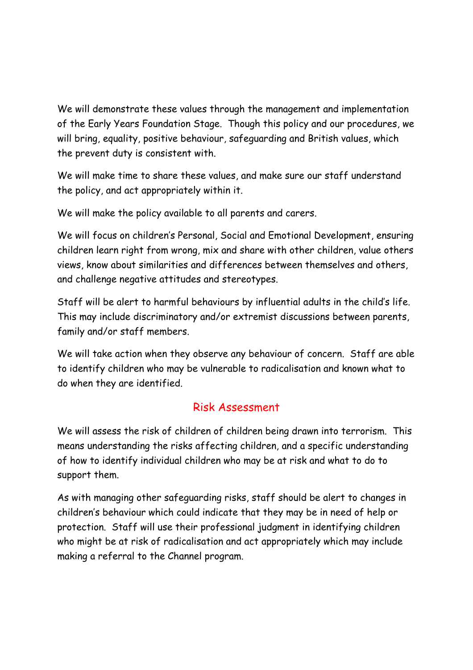We will demonstrate these values through the management and implementation of the Early Years Foundation Stage. Though this policy and our procedures, we will bring, equality, positive behaviour, safeguarding and British values, which the prevent duty is consistent with.

We will make time to share these values, and make sure our staff understand the policy, and act appropriately within it.

We will make the policy available to all parents and carers.

We will focus on children's Personal, Social and Emotional Development, ensuring children learn right from wrong, mix and share with other children, value others views, know about similarities and differences between themselves and others, and challenge negative attitudes and stereotypes.

Staff will be alert to harmful behaviours by influential adults in the child's life. This may include discriminatory and/or extremist discussions between parents, family and/or staff members.

We will take action when they observe any behaviour of concern. Staff are able to identify children who may be vulnerable to radicalisation and known what to do when they are identified.

#### Risk Assessment

We will assess the risk of children of children being drawn into terrorism. This means understanding the risks affecting children, and a specific understanding of how to identify individual children who may be at risk and what to do to support them.

As with managing other safeguarding risks, staff should be alert to changes in children's behaviour which could indicate that they may be in need of help or protection. Staff will use their professional judgment in identifying children who might be at risk of radicalisation and act appropriately which may include making a referral to the Channel program.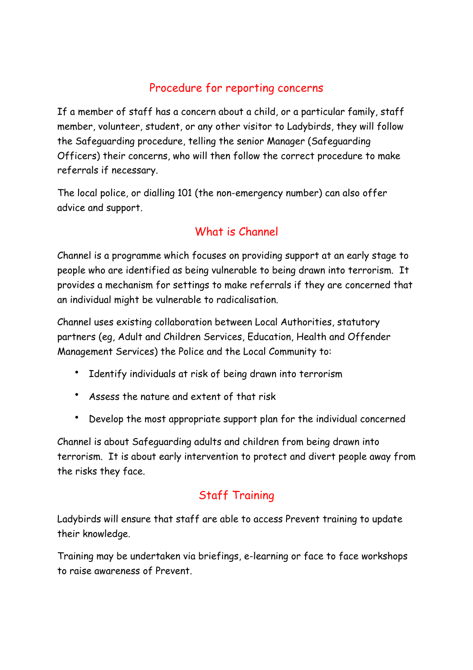### Procedure for reporting concerns

If a member of staff has a concern about a child, or a particular family, staff member, volunteer, student, or any other visitor to Ladybirds, they will follow the Safeguarding procedure, telling the senior Manager (Safeguarding Officers) their concerns, who will then follow the correct procedure to make referrals if necessary.

The local police, or dialling 101 (the non-emergency number) can also offer advice and support.

## What is Channel

Channel is a programme which focuses on providing support at an early stage to people who are identified as being vulnerable to being drawn into terrorism. It provides a mechanism for settings to make referrals if they are concerned that an individual might be vulnerable to radicalisation.

Channel uses existing collaboration between Local Authorities, statutory partners (eg, Adult and Children Services, Education, Health and Offender Management Services) the Police and the Local Community to:

- Identify individuals at risk of being drawn into terrorism
- Assess the nature and extent of that risk
- Develop the most appropriate support plan for the individual concerned

Channel is about Safeguarding adults and children from being drawn into terrorism. It is about early intervention to protect and divert people away from the risks they face.

## Staff Training

Ladybirds will ensure that staff are able to access Prevent training to update their knowledge.

Training may be undertaken via briefings, e-learning or face to face workshops to raise awareness of Prevent.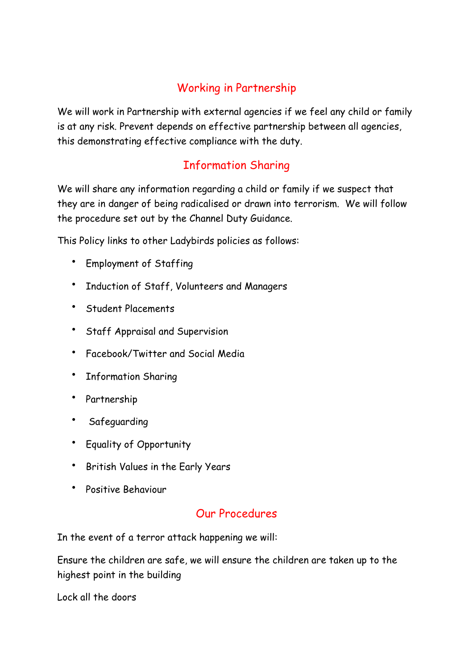### Working in Partnership

We will work in Partnership with external agencies if we feel any child or family is at any risk. Prevent depends on effective partnership between all agencies, this demonstrating effective compliance with the duty.

### Information Sharing

We will share any information regarding a child or family if we suspect that they are in danger of being radicalised or drawn into terrorism. We will follow the procedure set out by the Channel Duty Guidance.

This Policy links to other Ladybirds policies as follows:

- Employment of Staffing
- Induction of Staff, Volunteers and Managers
- Student Placements
- Staff Appraisal and Supervision
- Facebook/Twitter and Social Media
- Information Sharing
- Partnership
- **Safeguarding**
- Equality of Opportunity
- British Values in the Early Years
- Positive Behaviour

#### Our Procedures

In the event of a terror attack happening we will:

Ensure the children are safe, we will ensure the children are taken up to the highest point in the building

Lock all the doors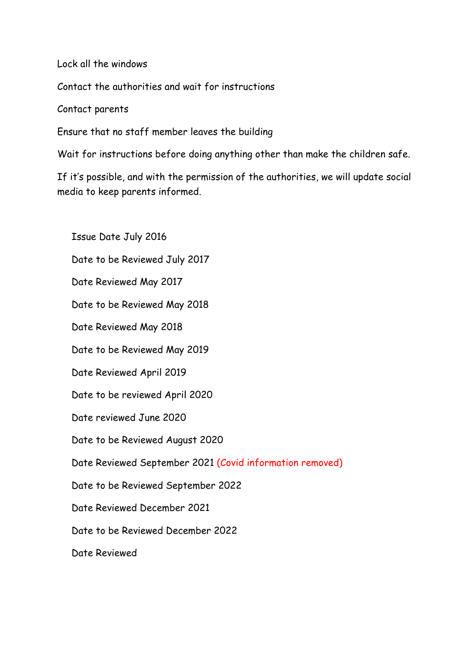Lock all the windows

Contact the authorities and wait for instructions

Contact parents

Ensure that no staff member leaves the building

Wait for instructions before doing anything other than make the children safe.

If it's possible, and with the permission of the authorities, we will update social media to keep parents informed.

Issue Date July 2016 Date to be Reviewed July 2017 Date Reviewed May 2017 Date to be Reviewed May 2018 Date Reviewed May 2018 Date to be Reviewed May 2019 Date Reviewed April 2019 Date to be reviewed April 2020 Date reviewed June 2020 Date to be Reviewed August 2020 Date Reviewed September 2021 (Covid information removed) Date to be Reviewed September 2022 Date Reviewed December 2021 Date to be Reviewed December 2022 Date Reviewed